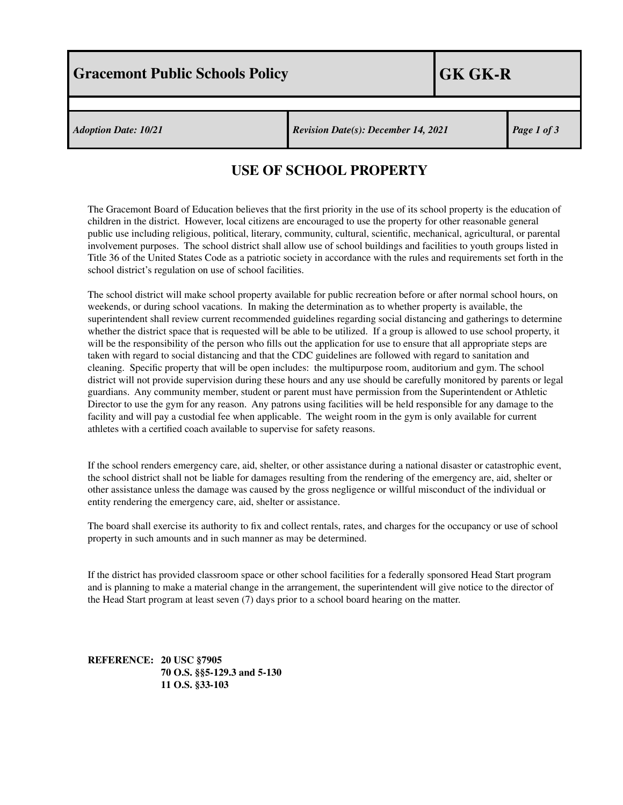*Adoption Date: 10/21 Revision Date(s): December 14, 2021 Page 1 of 3*

## **USE OF SCHOOL PROPERTY**

The Gracemont Board of Education believes that the first priority in the use of its school property is the education of children in the district. However, local citizens are encouraged to use the property for other reasonable general public use including religious, political, literary, community, cultural, scientific, mechanical, agricultural, or parental involvement purposes. The school district shall allow use of school buildings and facilities to youth groups listed in Title 36 of the United States Code as a patriotic society in accordance with the rules and requirements set forth in the school district's regulation on use of school facilities.

The school district will make school property available for public recreation before or after normal school hours, on weekends, or during school vacations. In making the determination as to whether property is available, the superintendent shall review current recommended guidelines regarding social distancing and gatherings to determine whether the district space that is requested will be able to be utilized. If a group is allowed to use school property, it will be the responsibility of the person who fills out the application for use to ensure that all appropriate steps are taken with regard to social distancing and that the CDC guidelines are followed with regard to sanitation and cleaning. Specific property that will be open includes: the multipurpose room, auditorium and gym. The school district will not provide supervision during these hours and any use should be carefully monitored by parents or legal guardians. Any community member, student or parent must have permission from the Superintendent or Athletic Director to use the gym for any reason. Any patrons using facilities will be held responsible for any damage to the facility and will pay a custodial fee when applicable. The weight room in the gym is only available for current athletes with a certified coach available to supervise for safety reasons.

If the school renders emergency care, aid, shelter, or other assistance during a national disaster or catastrophic event, the school district shall not be liable for damages resulting from the rendering of the emergency are, aid, shelter or other assistance unless the damage was caused by the gross negligence or willful misconduct of the individual or entity rendering the emergency care, aid, shelter or assistance.

The board shall exercise its authority to fix and collect rentals, rates, and charges for the occupancy or use of school property in such amounts and in such manner as may be determined.

If the district has provided classroom space or other school facilities for a federally sponsored Head Start program and is planning to make a material change in the arrangement, the superintendent will give notice to the director of the Head Start program at least seven (7) days prior to a school board hearing on the matter.

**REFERENCE: 20 USC §7905 70 O.S. §§5-129.3 and 5-130 11 O.S. §33-103**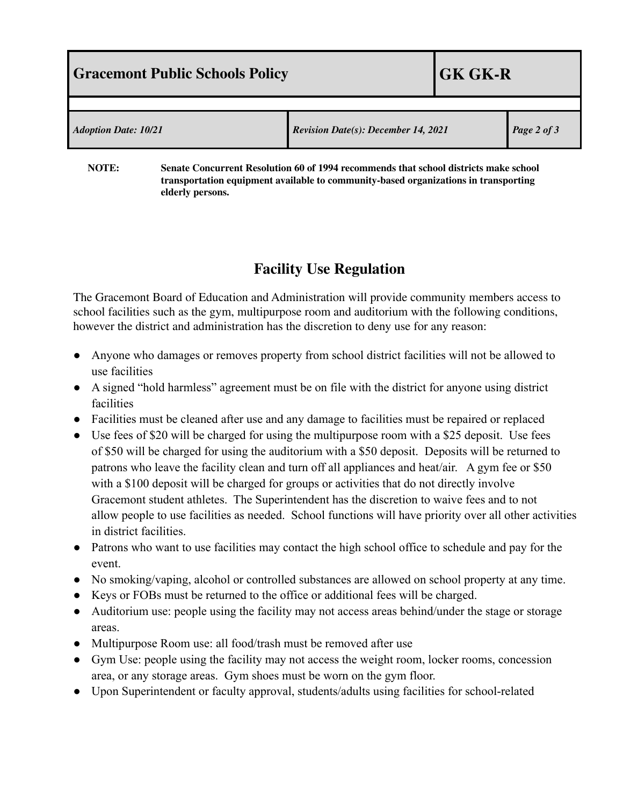| <b>Gracemont Public Schools Policy</b> |                                                                                                           | <b>GK GK-R</b> |             |
|----------------------------------------|-----------------------------------------------------------------------------------------------------------|----------------|-------------|
|                                        |                                                                                                           |                |             |
| <b>Adoption Date: 10/21</b>            | <b>Revision Date(s): December 14, 2021</b>                                                                |                | Page 2 of 3 |
| $\mathbf{M}$                           | $\alpha$ in the constant in the set of the set of $\alpha$ and $\alpha$ is the set of the set of $\alpha$ |                |             |

**NOTE: Senate Concurrent Resolution 60 of 1994 recommends that school districts make school transportation equipment available to community-based organizations in transporting elderly persons.**

## **Facility Use Regulation**

The Gracemont Board of Education and Administration will provide community members access to school facilities such as the gym, multipurpose room and auditorium with the following conditions, however the district and administration has the discretion to deny use for any reason:

- Anyone who damages or removes property from school district facilities will not be allowed to use facilities
- A signed "hold harmless" agreement must be on file with the district for anyone using district facilities
- Facilities must be cleaned after use and any damage to facilities must be repaired or replaced
- Use fees of \$20 will be charged for using the multipurpose room with a \$25 deposit. Use fees of \$50 will be charged for using the auditorium with a \$50 deposit. Deposits will be returned to patrons who leave the facility clean and turn off all appliances and heat/air. A gym fee or \$50 with a \$100 deposit will be charged for groups or activities that do not directly involve Gracemont student athletes. The Superintendent has the discretion to waive fees and to not allow people to use facilities as needed. School functions will have priority over all other activities in district facilities.
- Patrons who want to use facilities may contact the high school office to schedule and pay for the event.
- No smoking/vaping, alcohol or controlled substances are allowed on school property at any time.
- Keys or FOBs must be returned to the office or additional fees will be charged.
- Auditorium use: people using the facility may not access areas behind/under the stage or storage areas.
- Multipurpose Room use: all food/trash must be removed after use
- Gym Use: people using the facility may not access the weight room, locker rooms, concession area, or any storage areas. Gym shoes must be worn on the gym floor.
- Upon Superintendent or faculty approval, students/adults using facilities for school-related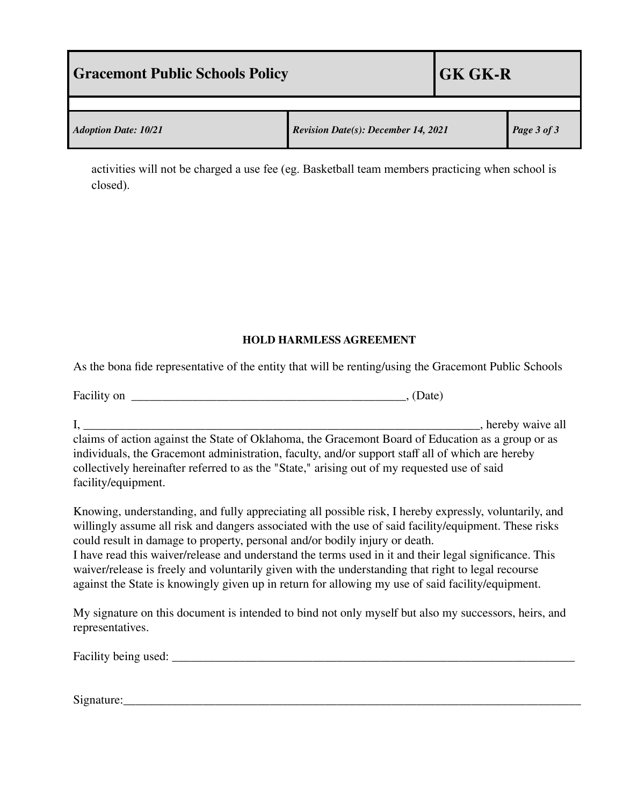| <b>Sexual Sexual Equator Schools Policy</b> |                                            | <b>GK GK-R</b> |             |  |
|---------------------------------------------|--------------------------------------------|----------------|-------------|--|
|                                             |                                            |                |             |  |
| <b>Adoption Date: 10/21</b>                 | <b>Revision Date(s): December 14, 2021</b> |                | Page 3 of 3 |  |

activities will not be charged a use fee (eg. Basketball team members practicing when school is closed).

## **HOLD HARMLESS AGREEMENT**

As the bona fide representative of the entity that will be renting/using the Gracemont Public Schools

| Facility on |  |
|-------------|--|
|-------------|--|

I, \_\_\_\_\_\_\_\_\_\_\_\_\_\_\_\_\_\_\_\_\_\_\_\_\_\_\_\_\_\_\_\_\_\_\_\_\_\_\_\_\_\_\_\_\_\_\_\_\_\_\_\_\_\_\_\_\_\_\_\_\_\_\_\_\_, hereby waive all claims of action against the State of Oklahoma, the Gracemont Board of Education as a group or as individuals, the Gracemont administration, faculty, and/or support staff all of which are hereby collectively hereinafter referred to as the "State," arising out of my requested use of said facility/equipment.

Knowing, understanding, and fully appreciating all possible risk, I hereby expressly, voluntarily, and willingly assume all risk and dangers associated with the use of said facility/equipment. These risks could result in damage to property, personal and/or bodily injury or death. I have read this waiver/release and understand the terms used in it and their legal significance. This waiver/release is freely and voluntarily given with the understanding that right to legal recourse against the State is knowingly given up in return for allowing my use of said facility/equipment.

My signature on this document is intended to bind not only myself but also my successors, heirs, and representatives.

| Facility being used |  |
|---------------------|--|
|                     |  |

Signature: